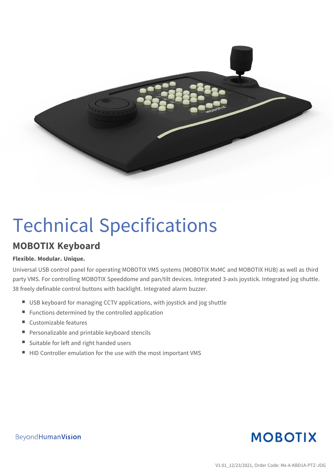

# Technical Specifications

### **MOBOTIX Keyboard**

#### **Flexible. Modular. Unique.**

Universal USB control panel for operating MOBOTIX VMS systems (MOBOTIX MxMC and MOBOTIX HUB) as well as third party VMS. For controlling MOBOTIX Speeddome and pan/tilt devices. Integrated 3-axis joystick. Integrated jog shuttle. 38 freely definable control buttons with backlight. Integrated alarm buzzer.

- USB keyboard for managing CCTV applications, with joystick and jog shuttle
- $\blacksquare$  Functions determined by the controlled application
- $\blacksquare$  Customizable features
- Personalizable and printable keyboard stencils
- Suitable for left and right handed users
- $\blacksquare$  HID Controller emulation for the use with the most important VMS



Beyond Human Vision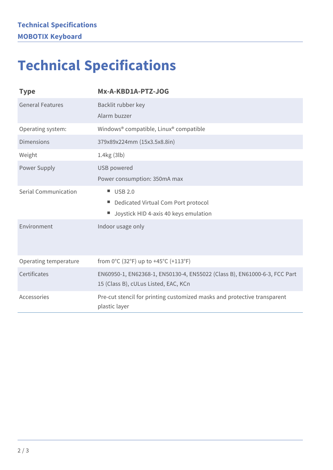## **Technical Specifications**

| <b>Type</b>             | Mx-A-KBD1A-PTZ-JOG                                                                                                |
|-------------------------|-------------------------------------------------------------------------------------------------------------------|
| <b>General Features</b> | Backlit rubber key<br>Alarm buzzer                                                                                |
| Operating system:       | Windows® compatible, Linux® compatible                                                                            |
| <b>Dimensions</b>       | 379x89x224mm (15x3.5x8.8in)                                                                                       |
| Weight                  | 1.4kg (3lb)                                                                                                       |
| Power Supply            | <b>USB</b> powered                                                                                                |
|                         | Power consumption: 350mA max                                                                                      |
| Serial Communication    | $\blacksquare$ USB 2.0                                                                                            |
|                         | Dedicated Virtual Com Port protocol                                                                               |
|                         | Joystick HID 4-axis 40 keys emulation                                                                             |
| Environment             | Indoor usage only                                                                                                 |
| Operating temperature   | from 0°C (32°F) up to +45°C (+113°F)                                                                              |
| Certificates            | EN60950-1, EN62368-1, EN50130-4, EN55022 (Class B), EN61000-6-3, FCC Part<br>15 (Class B), cULus Listed, EAC, KCn |
| Accessories             | Pre-cut stencil for printing customized masks and protective transparent<br>plastic layer                         |